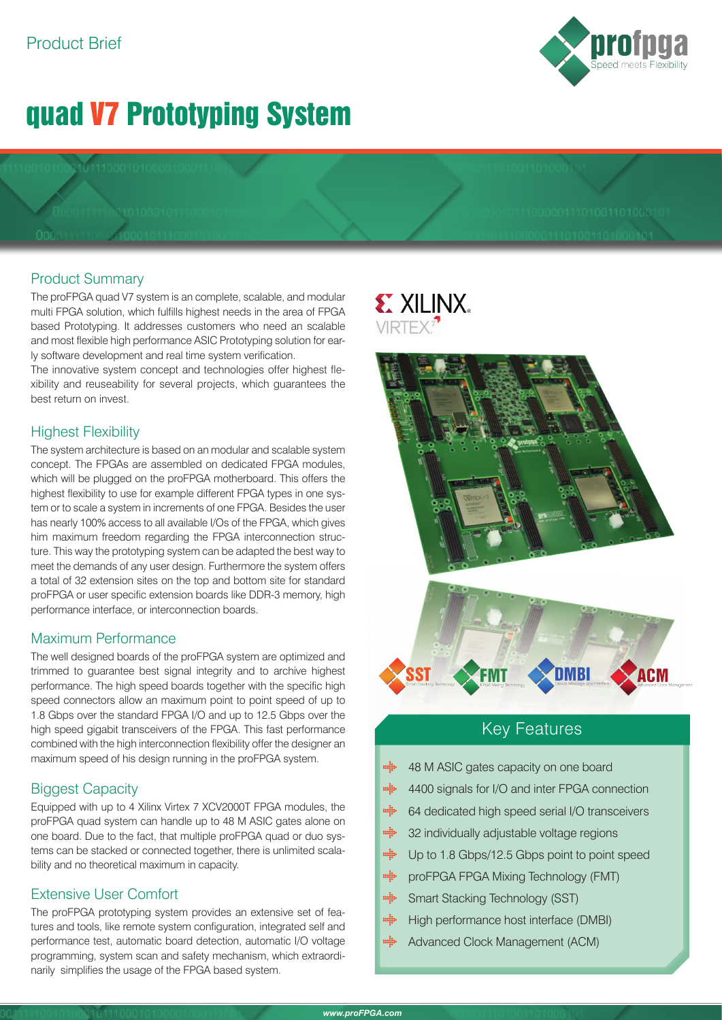# quad V7 Prototyping System

## Product Summary

The proFPGA quad V7 system is an complete, scalable, and modular multi FPGA solution, which fulfills highest needs in the area of FPGA based Prototyping. It addresses customers who need an scalable and most flexible high performance ASIC Prototyping solution for early software development and real time system verification.

The innovative system concept and technologies offer highest flexibility and reuseability for several projects, which guarantees the best return on invest.

## Highest Flexibility

The system architecture is based on an modular and scalable system concept. The FPGAs are assembled on dedicated FPGA modules, which will be plugged on the proFPGA motherboard. This offers the highest flexibility to use for example different FPGA types in one system or to scale a system in increments of one FPGA. Besides the user has nearly 100% access to all available I/Os of the FPGA, which gives him maximum freedom regarding the FPGA interconnection structure. This way the prototyping system can be adapted the best way to meet the demands of any user design. Furthermore the system offers a total of 32 extension sites on the top and bottom site for standard proFPGA or user specific extension boards like DDR-3 memory, high performance interface, or interconnection boards.

## Maximum Performance

The well designed boards of the proFPGA system are optimized and trimmed to guarantee best signal integrity and to archive highest performance. The high speed boards together with the specific high speed connectors allow an maximum point to point speed of up to 1.8 Gbps over the standard FPGA I/O and up to 12.5 Gbps over the high speed gigabit transceivers of the FPGA. This fast performance combined with the high interconnection flexibility offer the designer an maximum speed of his design running in the proFPGA system.

## Biggest Capacity

Equipped with up to 4 Xilinx Virtex 7 XCV2000T FPGA modules, the proFPGA quad system can handle up to 48 M ASIC gates alone on one board. Due to the fact, that multiple proFPGA quad or duo systems can be stacked or connected together, there is unlimited scalability and no theoretical maximum in capacity.

## Extensive User Comfort

The proFPGA prototyping system provides an extensive set of features and tools, like remote system configuration, integrated self and performance test, automatic board detection, automatic I/O voltage programming, system scan and safety mechanism, which extraordinarily simplifies the usage of the FPGA based system.

# **EXILINX** VIRTEX?



## Key Features

- mija 48 M ASIC gates capacity on one board
- $\min_{i}$ 4400 signals for I/O and inter FPGA connection
- $m_{\tilde{a}}^{\tilde{a}}$ 64 dedicated high speed serial I/O transceivers
- $m_{\rm B}^2$ 32 individually adjustable voltage regions
- $\min_{i}$ Up to 1.8 Gbps/12.5 Gbps point to point speed
- $m_{\rm eff}^2$ proFPGA FPGA Mixing Technology (FMT)
- mijo Smart Stacking Technology (SST)
- $\begin{aligned} \mathbf{m}_{\mathbf{S}}^{\mathbf{S}}\mathbf{b} \end{aligned}$ High performance host interface (DMBI)
- milis Advanced Clock Management (ACM)